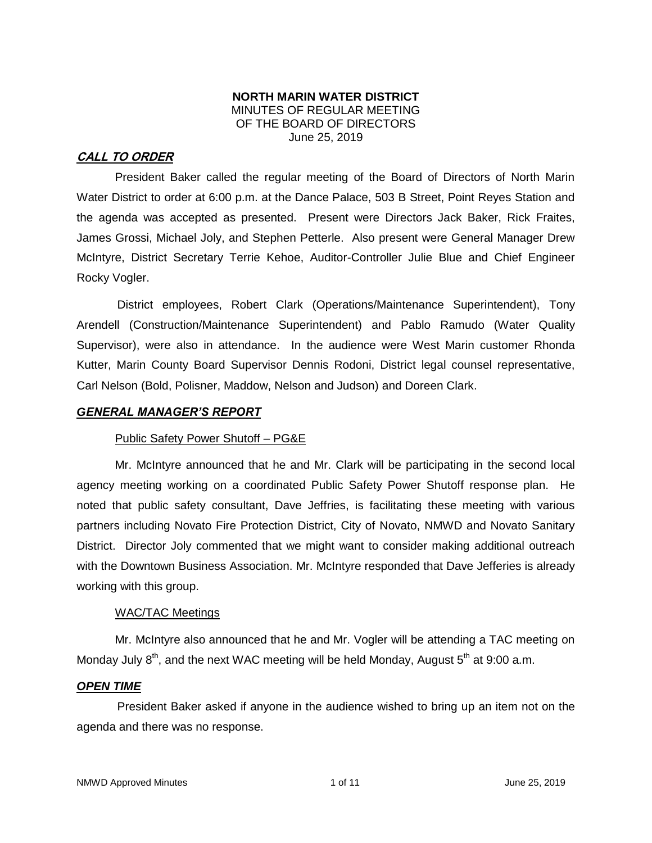## **NORTH MARIN WATER DISTRICT** MINUTES OF REGULAR MEETING OF THE BOARD OF DIRECTORS June 25, 2019

## **CALL TO ORDER**

President Baker called the regular meeting of the Board of Directors of North Marin Water District to order at 6:00 p.m. at the Dance Palace, 503 B Street, Point Reyes Station and the agenda was accepted as presented. Present were Directors Jack Baker, Rick Fraites, James Grossi, Michael Joly, and Stephen Petterle. Also present were General Manager Drew McIntyre, District Secretary Terrie Kehoe, Auditor-Controller Julie Blue and Chief Engineer Rocky Vogler.

District employees, Robert Clark (Operations/Maintenance Superintendent), Tony Arendell (Construction/Maintenance Superintendent) and Pablo Ramudo (Water Quality Supervisor), were also in attendance. In the audience were West Marin customer Rhonda Kutter, Marin County Board Supervisor Dennis Rodoni, District legal counsel representative, Carl Nelson (Bold, Polisner, Maddow, Nelson and Judson) and Doreen Clark.

#### *GENERAL MANAGER'S REPORT*

## Public Safety Power Shutoff – PG&E

Mr. McIntyre announced that he and Mr. Clark will be participating in the second local agency meeting working on a coordinated Public Safety Power Shutoff response plan. He noted that public safety consultant, Dave Jeffries, is facilitating these meeting with various partners including Novato Fire Protection District, City of Novato, NMWD and Novato Sanitary District. Director Joly commented that we might want to consider making additional outreach with the Downtown Business Association. Mr. McIntyre responded that Dave Jefferies is already working with this group.

## WAC/TAC Meetings

Mr. McIntyre also announced that he and Mr. Vogler will be attending a TAC meeting on Monday July  $8<sup>th</sup>$ , and the next WAC meeting will be held Monday, August  $5<sup>th</sup>$  at 9:00 a.m.

#### *OPEN TIME*

President Baker asked if anyone in the audience wished to bring up an item not on the agenda and there was no response.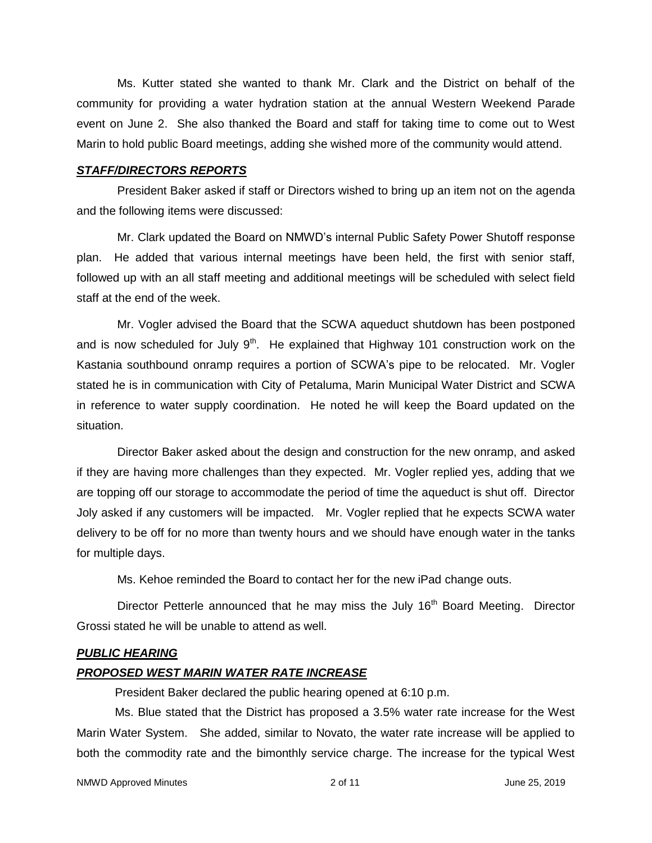Ms. Kutter stated she wanted to thank Mr. Clark and the District on behalf of the community for providing a water hydration station at the annual Western Weekend Parade event on June 2. She also thanked the Board and staff for taking time to come out to West Marin to hold public Board meetings, adding she wished more of the community would attend.

#### *STAFF/DIRECTORS REPORTS*

President Baker asked if staff or Directors wished to bring up an item not on the agenda and the following items were discussed:

Mr. Clark updated the Board on NMWD's internal Public Safety Power Shutoff response plan. He added that various internal meetings have been held, the first with senior staff, followed up with an all staff meeting and additional meetings will be scheduled with select field staff at the end of the week.

Mr. Vogler advised the Board that the SCWA aqueduct shutdown has been postponed and is now scheduled for July  $9<sup>th</sup>$ . He explained that Highway 101 construction work on the Kastania southbound onramp requires a portion of SCWA's pipe to be relocated. Mr. Vogler stated he is in communication with City of Petaluma, Marin Municipal Water District and SCWA in reference to water supply coordination. He noted he will keep the Board updated on the situation.

Director Baker asked about the design and construction for the new onramp, and asked if they are having more challenges than they expected. Mr. Vogler replied yes, adding that we are topping off our storage to accommodate the period of time the aqueduct is shut off. Director Joly asked if any customers will be impacted. Mr. Vogler replied that he expects SCWA water delivery to be off for no more than twenty hours and we should have enough water in the tanks for multiple days.

Ms. Kehoe reminded the Board to contact her for the new iPad change outs.

Director Petterle announced that he may miss the July  $16<sup>th</sup>$  Board Meeting. Director Grossi stated he will be unable to attend as well.

#### *PUBLIC HEARING*

#### *PROPOSED WEST MARIN WATER RATE INCREASE*

President Baker declared the public hearing opened at 6:10 p.m.

Ms. Blue stated that the District has proposed a 3.5% water rate increase for the West Marin Water System. She added, similar to Novato, the water rate increase will be applied to both the commodity rate and the bimonthly service charge. The increase for the typical West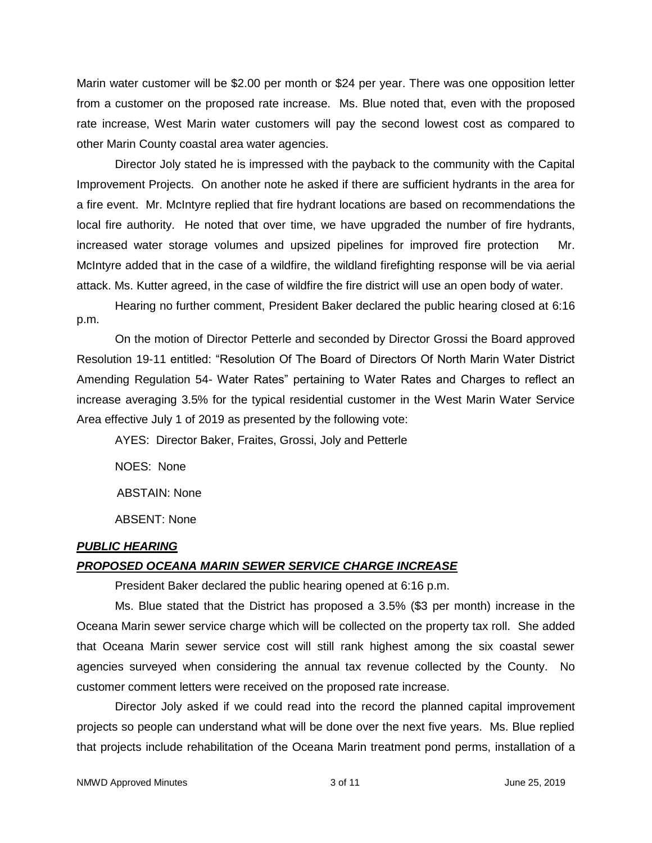Marin water customer will be \$2.00 per month or \$24 per year. There was one opposition letter from a customer on the proposed rate increase. Ms. Blue noted that, even with the proposed rate increase, West Marin water customers will pay the second lowest cost as compared to other Marin County coastal area water agencies.

Director Joly stated he is impressed with the payback to the community with the Capital Improvement Projects. On another note he asked if there are sufficient hydrants in the area for a fire event. Mr. McIntyre replied that fire hydrant locations are based on recommendations the local fire authority. He noted that over time, we have upgraded the number of fire hydrants, increased water storage volumes and upsized pipelines for improved fire protection Mr. McIntyre added that in the case of a wildfire, the wildland firefighting response will be via aerial attack. Ms. Kutter agreed, in the case of wildfire the fire district will use an open body of water.

Hearing no further comment, President Baker declared the public hearing closed at 6:16 p.m.

On the motion of Director Petterle and seconded by Director Grossi the Board approved Resolution 19-11 entitled: "Resolution Of The Board of Directors Of North Marin Water District Amending Regulation 54- Water Rates" pertaining to Water Rates and Charges to reflect an increase averaging 3.5% for the typical residential customer in the West Marin Water Service Area effective July 1 of 2019 as presented by the following vote:

AYES: Director Baker, Fraites, Grossi, Joly and Petterle

NOES: None

ABSTAIN: None

ABSENT: None

#### *PUBLIC HEARING*

#### *PROPOSED OCEANA MARIN SEWER SERVICE CHARGE INCREASE*

President Baker declared the public hearing opened at 6:16 p.m.

Ms. Blue stated that the District has proposed a 3.5% (\$3 per month) increase in the Oceana Marin sewer service charge which will be collected on the property tax roll. She added that Oceana Marin sewer service cost will still rank highest among the six coastal sewer agencies surveyed when considering the annual tax revenue collected by the County. No customer comment letters were received on the proposed rate increase.

Director Joly asked if we could read into the record the planned capital improvement projects so people can understand what will be done over the next five years. Ms. Blue replied that projects include rehabilitation of the Oceana Marin treatment pond perms, installation of a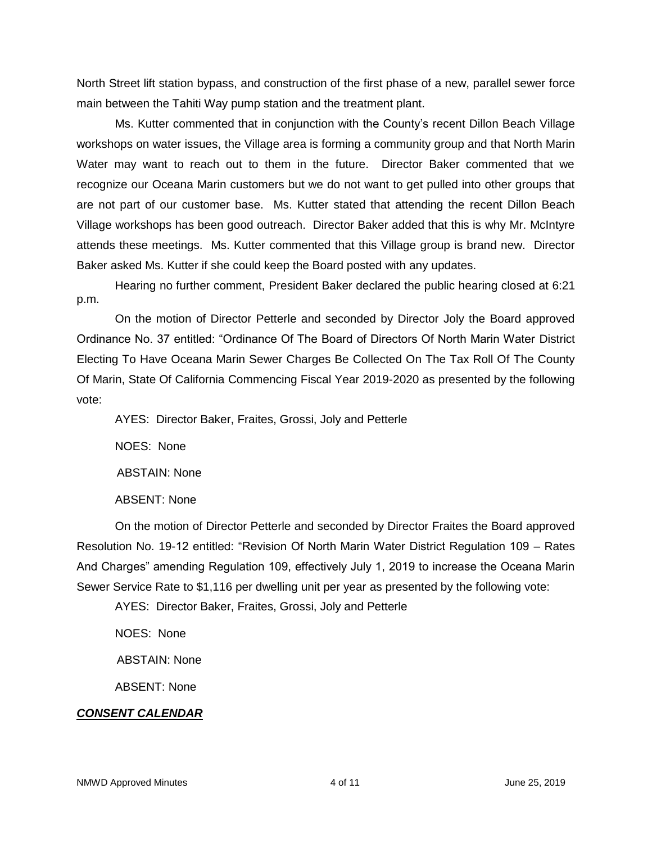North Street lift station bypass, and construction of the first phase of a new, parallel sewer force main between the Tahiti Way pump station and the treatment plant.

Ms. Kutter commented that in conjunction with the County's recent Dillon Beach Village workshops on water issues, the Village area is forming a community group and that North Marin Water may want to reach out to them in the future. Director Baker commented that we recognize our Oceana Marin customers but we do not want to get pulled into other groups that are not part of our customer base. Ms. Kutter stated that attending the recent Dillon Beach Village workshops has been good outreach. Director Baker added that this is why Mr. McIntyre attends these meetings. Ms. Kutter commented that this Village group is brand new. Director Baker asked Ms. Kutter if she could keep the Board posted with any updates.

Hearing no further comment, President Baker declared the public hearing closed at 6:21 p.m.

On the motion of Director Petterle and seconded by Director Joly the Board approved Ordinance No. 37 entitled: "Ordinance Of The Board of Directors Of North Marin Water District Electing To Have Oceana Marin Sewer Charges Be Collected On The Tax Roll Of The County Of Marin, State Of California Commencing Fiscal Year 2019-2020 as presented by the following vote:

AYES: Director Baker, Fraites, Grossi, Joly and Petterle

NOES: None

ABSTAIN: None

ABSENT: None

On the motion of Director Petterle and seconded by Director Fraites the Board approved Resolution No. 19-12 entitled: "Revision Of North Marin Water District Regulation 109 – Rates And Charges" amending Regulation 109, effectively July 1, 2019 to increase the Oceana Marin Sewer Service Rate to \$1,116 per dwelling unit per year as presented by the following vote:

AYES: Director Baker, Fraites, Grossi, Joly and Petterle

NOES: None

ABSTAIN: None

ABSENT: None

## *CONSENT CALENDAR*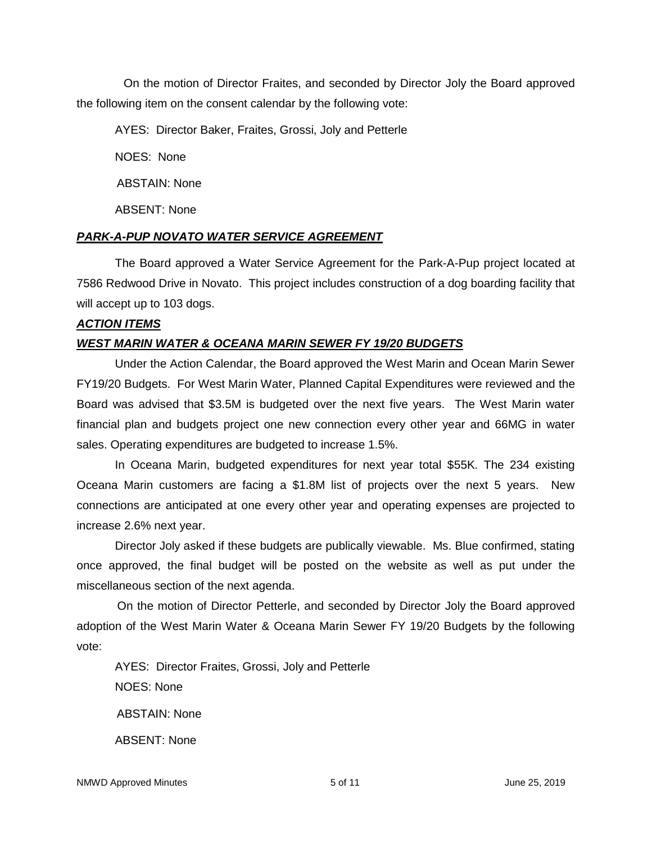On the motion of Director Fraites, and seconded by Director Joly the Board approved the following item on the consent calendar by the following vote:

AYES: Director Baker, Fraites, Grossi, Joly and Petterle

NOES: None

ABSTAIN: None

ABSENT: None

## *PARK-A-PUP NOVATO WATER SERVICE AGREEMENT*

The Board approved a Water Service Agreement for the Park-A-Pup project located at 7586 Redwood Drive in Novato. This project includes construction of a dog boarding facility that will accept up to 103 dogs.

## *ACTION ITEMS*

# *WEST MARIN WATER & OCEANA MARIN SEWER FY 19/20 BUDGETS*

Under the Action Calendar, the Board approved the West Marin and Ocean Marin Sewer FY19/20 Budgets. For West Marin Water, Planned Capital Expenditures were reviewed and the Board was advised that \$3.5M is budgeted over the next five years. The West Marin water financial plan and budgets project one new connection every other year and 66MG in water sales. Operating expenditures are budgeted to increase 1.5%.

In Oceana Marin, budgeted expenditures for next year total \$55K. The 234 existing Oceana Marin customers are facing a \$1.8M list of projects over the next 5 years. New connections are anticipated at one every other year and operating expenses are projected to increase 2.6% next year.

Director Joly asked if these budgets are publically viewable. Ms. Blue confirmed, stating once approved, the final budget will be posted on the website as well as put under the miscellaneous section of the next agenda.

On the motion of Director Petterle, and seconded by Director Joly the Board approved adoption of the West Marin Water & Oceana Marin Sewer FY 19/20 Budgets by the following vote:

AYES: Director Fraites, Grossi, Joly and Petterle NOES: None ABSTAIN: None ABSENT: None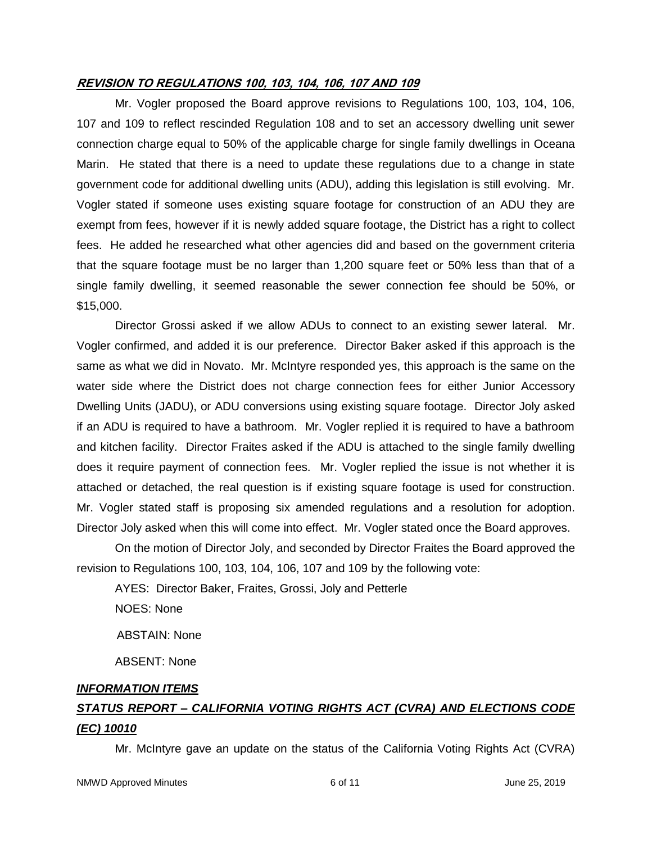#### **REVISION TO REGULATIONS 100, 103, 104, 106, 107 AND 109**

Mr. Vogler proposed the Board approve revisions to Regulations 100, 103, 104, 106, 107 and 109 to reflect rescinded Regulation 108 and to set an accessory dwelling unit sewer connection charge equal to 50% of the applicable charge for single family dwellings in Oceana Marin. He stated that there is a need to update these regulations due to a change in state government code for additional dwelling units (ADU), adding this legislation is still evolving. Mr. Vogler stated if someone uses existing square footage for construction of an ADU they are exempt from fees, however if it is newly added square footage, the District has a right to collect fees. He added he researched what other agencies did and based on the government criteria that the square footage must be no larger than 1,200 square feet or 50% less than that of a single family dwelling, it seemed reasonable the sewer connection fee should be 50%, or \$15,000.

Director Grossi asked if we allow ADUs to connect to an existing sewer lateral. Mr. Vogler confirmed, and added it is our preference. Director Baker asked if this approach is the same as what we did in Novato. Mr. McIntyre responded yes, this approach is the same on the water side where the District does not charge connection fees for either Junior Accessory Dwelling Units (JADU), or ADU conversions using existing square footage. Director Joly asked if an ADU is required to have a bathroom. Mr. Vogler replied it is required to have a bathroom and kitchen facility. Director Fraites asked if the ADU is attached to the single family dwelling does it require payment of connection fees. Mr. Vogler replied the issue is not whether it is attached or detached, the real question is if existing square footage is used for construction. Mr. Vogler stated staff is proposing six amended regulations and a resolution for adoption. Director Joly asked when this will come into effect. Mr. Vogler stated once the Board approves.

On the motion of Director Joly, and seconded by Director Fraites the Board approved the revision to Regulations 100, 103, 104, 106, 107 and 109 by the following vote:

AYES: Director Baker, Fraites, Grossi, Joly and Petterle

NOES: None

ABSTAIN: None

ABSENT: None

## *INFORMATION ITEMS*

# *STATUS REPORT – CALIFORNIA VOTING RIGHTS ACT (CVRA) AND ELECTIONS CODE (EC) 10010*

Mr. McIntyre gave an update on the status of the California Voting Rights Act (CVRA)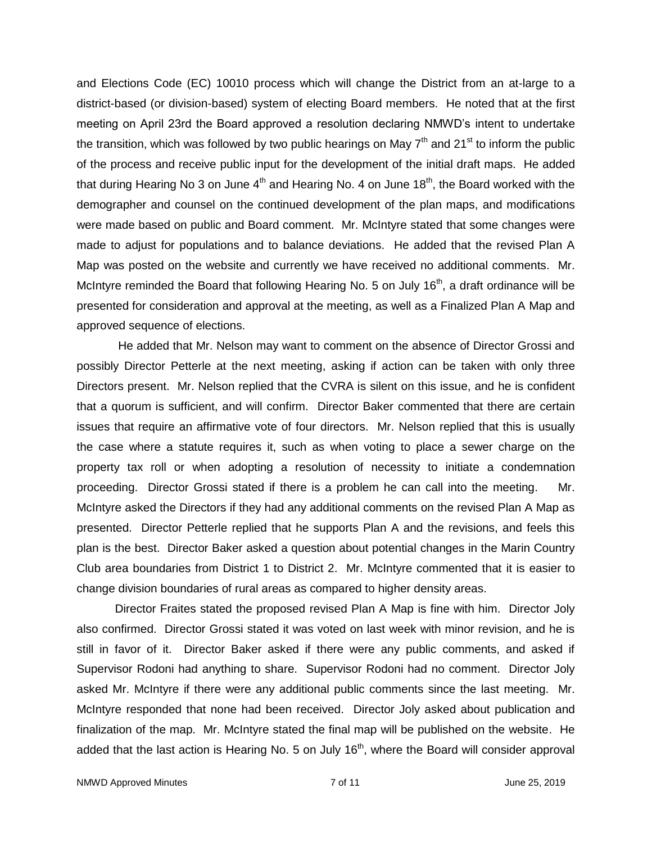and Elections Code (EC) 10010 process which will change the District from an at-large to a district-based (or division-based) system of electing Board members. He noted that at the first meeting on April 23rd the Board approved a resolution declaring NMWD's intent to undertake the transition, which was followed by two public hearings on May  $7<sup>th</sup>$  and 21<sup>st</sup> to inform the public of the process and receive public input for the development of the initial draft maps. He added that during Hearing No 3 on June 4<sup>th</sup> and Hearing No. 4 on June 18<sup>th</sup>, the Board worked with the demographer and counsel on the continued development of the plan maps, and modifications were made based on public and Board comment. Mr. McIntyre stated that some changes were made to adjust for populations and to balance deviations. He added that the revised Plan A Map was posted on the website and currently we have received no additional comments. Mr. McIntyre reminded the Board that following Hearing No. 5 on July 16<sup>th</sup>, a draft ordinance will be presented for consideration and approval at the meeting, as well as a Finalized Plan A Map and approved sequence of elections.

He added that Mr. Nelson may want to comment on the absence of Director Grossi and possibly Director Petterle at the next meeting, asking if action can be taken with only three Directors present. Mr. Nelson replied that the CVRA is silent on this issue, and he is confident that a quorum is sufficient, and will confirm. Director Baker commented that there are certain issues that require an affirmative vote of four directors. Mr. Nelson replied that this is usually the case where a statute requires it, such as when voting to place a sewer charge on the property tax roll or when adopting a resolution of necessity to initiate a condemnation proceeding. Director Grossi stated if there is a problem he can call into the meeting. Mr. McIntyre asked the Directors if they had any additional comments on the revised Plan A Map as presented. Director Petterle replied that he supports Plan A and the revisions, and feels this plan is the best. Director Baker asked a question about potential changes in the Marin Country Club area boundaries from District 1 to District 2. Mr. McIntyre commented that it is easier to change division boundaries of rural areas as compared to higher density areas.

Director Fraites stated the proposed revised Plan A Map is fine with him. Director Joly also confirmed. Director Grossi stated it was voted on last week with minor revision, and he is still in favor of it. Director Baker asked if there were any public comments, and asked if Supervisor Rodoni had anything to share. Supervisor Rodoni had no comment. Director Joly asked Mr. McIntyre if there were any additional public comments since the last meeting. Mr. McIntyre responded that none had been received. Director Joly asked about publication and finalization of the map. Mr. McIntyre stated the final map will be published on the website. He added that the last action is Hearing No. 5 on July  $16<sup>th</sup>$ , where the Board will consider approval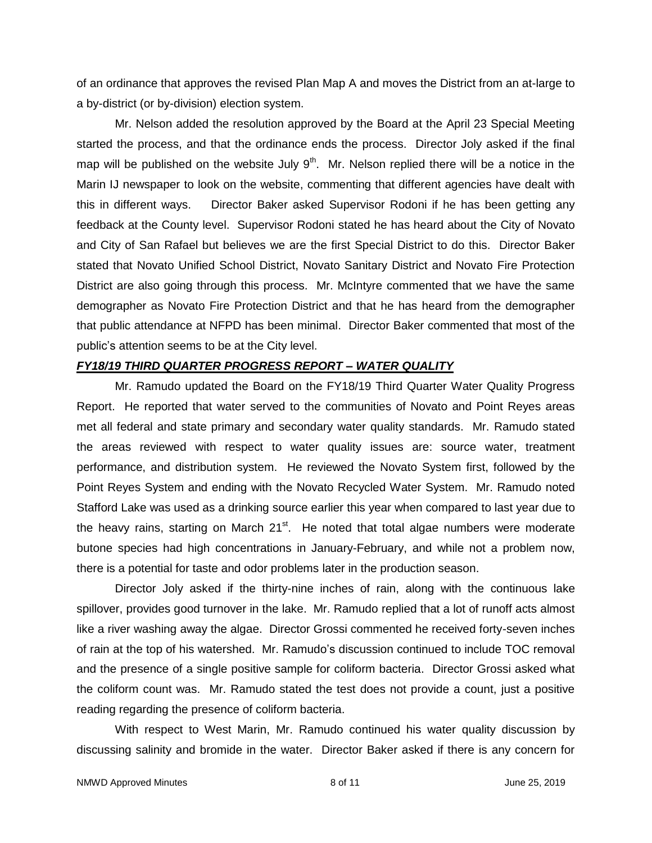of an ordinance that approves the revised Plan Map A and moves the District from an at-large to a by-district (or by-division) election system.

Mr. Nelson added the resolution approved by the Board at the April 23 Special Meeting started the process, and that the ordinance ends the process. Director Joly asked if the final map will be published on the website July  $9<sup>th</sup>$ . Mr. Nelson replied there will be a notice in the Marin IJ newspaper to look on the website, commenting that different agencies have dealt with this in different ways. Director Baker asked Supervisor Rodoni if he has been getting any feedback at the County level. Supervisor Rodoni stated he has heard about the City of Novato and City of San Rafael but believes we are the first Special District to do this. Director Baker stated that Novato Unified School District, Novato Sanitary District and Novato Fire Protection District are also going through this process. Mr. McIntyre commented that we have the same demographer as Novato Fire Protection District and that he has heard from the demographer that public attendance at NFPD has been minimal. Director Baker commented that most of the public's attention seems to be at the City level.

#### *FY18/19 THIRD QUARTER PROGRESS REPORT – WATER QUALITY*

Mr. Ramudo updated the Board on the FY18/19 Third Quarter Water Quality Progress Report. He reported that water served to the communities of Novato and Point Reyes areas met all federal and state primary and secondary water quality standards. Mr. Ramudo stated the areas reviewed with respect to water quality issues are: source water, treatment performance, and distribution system. He reviewed the Novato System first, followed by the Point Reyes System and ending with the Novato Recycled Water System. Mr. Ramudo noted Stafford Lake was used as a drinking source earlier this year when compared to last year due to the heavy rains, starting on March 21<sup>st</sup>. He noted that total algae numbers were moderate butone species had high concentrations in January-February, and while not a problem now, there is a potential for taste and odor problems later in the production season.

Director Joly asked if the thirty-nine inches of rain, along with the continuous lake spillover, provides good turnover in the lake. Mr. Ramudo replied that a lot of runoff acts almost like a river washing away the algae. Director Grossi commented he received forty-seven inches of rain at the top of his watershed. Mr. Ramudo's discussion continued to include TOC removal and the presence of a single positive sample for coliform bacteria. Director Grossi asked what the coliform count was. Mr. Ramudo stated the test does not provide a count, just a positive reading regarding the presence of coliform bacteria.

With respect to West Marin, Mr. Ramudo continued his water quality discussion by discussing salinity and bromide in the water. Director Baker asked if there is any concern for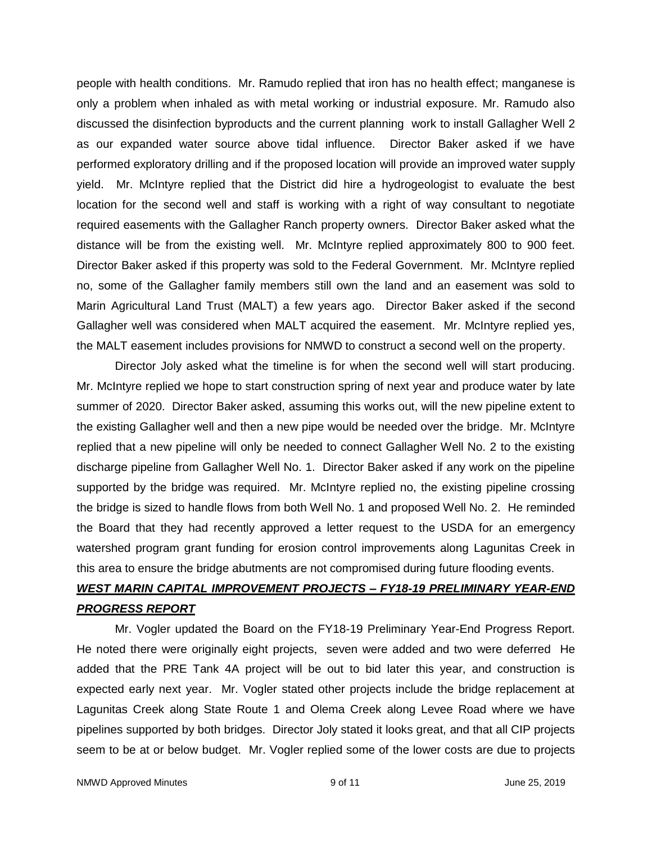people with health conditions. Mr. Ramudo replied that iron has no health effect; manganese is only a problem when inhaled as with metal working or industrial exposure. Mr. Ramudo also discussed the disinfection byproducts and the current planning work to install Gallagher Well 2 as our expanded water source above tidal influence. Director Baker asked if we have performed exploratory drilling and if the proposed location will provide an improved water supply yield. Mr. McIntyre replied that the District did hire a hydrogeologist to evaluate the best location for the second well and staff is working with a right of way consultant to negotiate required easements with the Gallagher Ranch property owners. Director Baker asked what the distance will be from the existing well. Mr. McIntyre replied approximately 800 to 900 feet. Director Baker asked if this property was sold to the Federal Government. Mr. McIntyre replied no, some of the Gallagher family members still own the land and an easement was sold to Marin Agricultural Land Trust (MALT) a few years ago. Director Baker asked if the second Gallagher well was considered when MALT acquired the easement. Mr. McIntyre replied yes, the MALT easement includes provisions for NMWD to construct a second well on the property.

Director Joly asked what the timeline is for when the second well will start producing. Mr. McIntyre replied we hope to start construction spring of next year and produce water by late summer of 2020. Director Baker asked, assuming this works out, will the new pipeline extent to the existing Gallagher well and then a new pipe would be needed over the bridge. Mr. McIntyre replied that a new pipeline will only be needed to connect Gallagher Well No. 2 to the existing discharge pipeline from Gallagher Well No. 1. Director Baker asked if any work on the pipeline supported by the bridge was required. Mr. McIntyre replied no, the existing pipeline crossing the bridge is sized to handle flows from both Well No. 1 and proposed Well No. 2. He reminded the Board that they had recently approved a letter request to the USDA for an emergency watershed program grant funding for erosion control improvements along Lagunitas Creek in this area to ensure the bridge abutments are not compromised during future flooding events.

# *WEST MARIN CAPITAL IMPROVEMENT PROJECTS – FY18-19 PRELIMINARY YEAR-END PROGRESS REPORT*

Mr. Vogler updated the Board on the FY18-19 Preliminary Year-End Progress Report. He noted there were originally eight projects, seven were added and two were deferred He added that the PRE Tank 4A project will be out to bid later this year, and construction is expected early next year. Mr. Vogler stated other projects include the bridge replacement at Lagunitas Creek along State Route 1 and Olema Creek along Levee Road where we have pipelines supported by both bridges. Director Joly stated it looks great, and that all CIP projects seem to be at or below budget. Mr. Vogler replied some of the lower costs are due to projects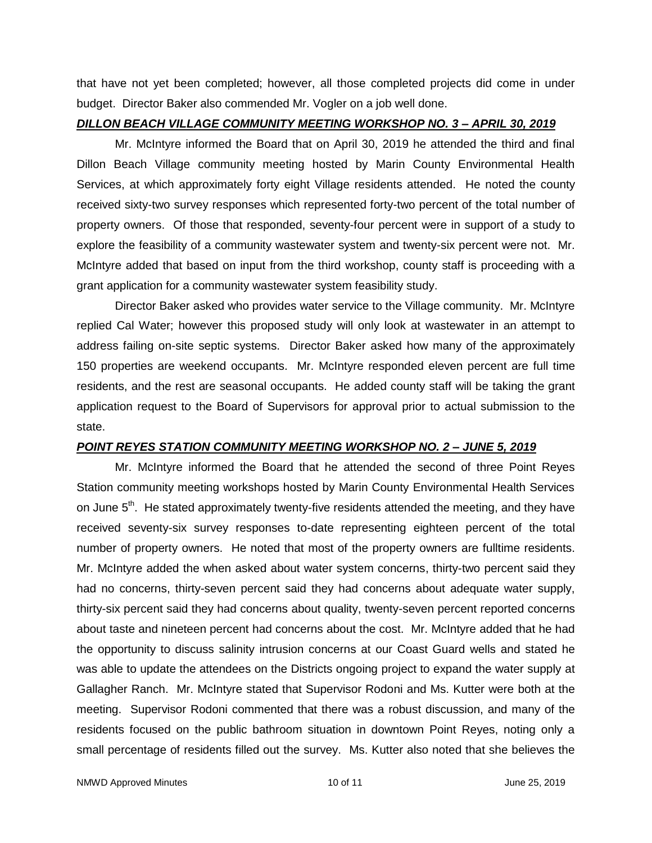that have not yet been completed; however, all those completed projects did come in under budget. Director Baker also commended Mr. Vogler on a job well done.

#### *DILLON BEACH VILLAGE COMMUNITY MEETING WORKSHOP NO. 3 – APRIL 30, 2019*

Mr. McIntyre informed the Board that on April 30, 2019 he attended the third and final Dillon Beach Village community meeting hosted by Marin County Environmental Health Services, at which approximately forty eight Village residents attended. He noted the county received sixty-two survey responses which represented forty-two percent of the total number of property owners. Of those that responded, seventy-four percent were in support of a study to explore the feasibility of a community wastewater system and twenty-six percent were not. Mr. McIntyre added that based on input from the third workshop, county staff is proceeding with a grant application for a community wastewater system feasibility study.

Director Baker asked who provides water service to the Village community. Mr. McIntyre replied Cal Water; however this proposed study will only look at wastewater in an attempt to address failing on-site septic systems. Director Baker asked how many of the approximately 150 properties are weekend occupants. Mr. McIntyre responded eleven percent are full time residents, and the rest are seasonal occupants. He added county staff will be taking the grant application request to the Board of Supervisors for approval prior to actual submission to the state.

## *POINT REYES STATION COMMUNITY MEETING WORKSHOP NO. 2 – JUNE 5, 2019*

Mr. McIntyre informed the Board that he attended the second of three Point Reyes Station community meeting workshops hosted by Marin County Environmental Health Services on June  $5<sup>th</sup>$ . He stated approximately twenty-five residents attended the meeting, and they have received seventy-six survey responses to-date representing eighteen percent of the total number of property owners. He noted that most of the property owners are fulltime residents. Mr. McIntyre added the when asked about water system concerns, thirty-two percent said they had no concerns, thirty-seven percent said they had concerns about adequate water supply, thirty-six percent said they had concerns about quality, twenty-seven percent reported concerns about taste and nineteen percent had concerns about the cost. Mr. McIntyre added that he had the opportunity to discuss salinity intrusion concerns at our Coast Guard wells and stated he was able to update the attendees on the Districts ongoing project to expand the water supply at Gallagher Ranch. Mr. McIntyre stated that Supervisor Rodoni and Ms. Kutter were both at the meeting. Supervisor Rodoni commented that there was a robust discussion, and many of the residents focused on the public bathroom situation in downtown Point Reyes, noting only a small percentage of residents filled out the survey. Ms. Kutter also noted that she believes the